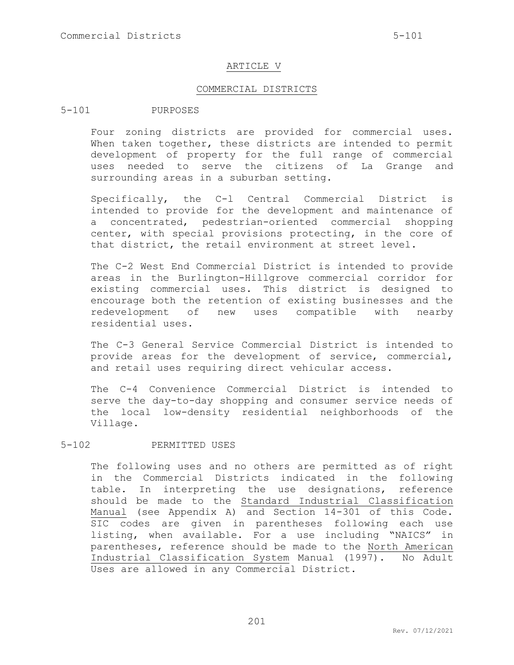### ARTICLE V

### COMMERCIAL DISTRICTS

## 5-101 PURPOSES

Four zoning districts are provided for commercial uses. When taken together, these districts are intended to permit development of property for the full range of commercial uses needed to serve the citizens of La Grange and surrounding areas in a suburban setting.

Specifically, the C-l Central Commercial District is intended to provide for the development and maintenance of a concentrated, pedestrian-oriented commercial shopping center, with special provisions protecting, in the core of that district, the retail environment at street level.

The C-2 West End Commercial District is intended to provide areas in the Burlington-Hillgrove commercial corridor for existing commercial uses. This district is designed to encourage both the retention of existing businesses and the redevelopment of new uses compatible with nearby residential uses.

The C-3 General Service Commercial District is intended to provide areas for the development of service, commercial, and retail uses requiring direct vehicular access.

The C-4 Convenience Commercial District is intended to serve the day-to-day shopping and consumer service needs of the local low-density residential neighborhoods of the Village.

### 5-102 PERMITTED USES

The following uses and no others are permitted as of right in the Commercial Districts indicated in the following table. In interpreting the use designations, reference should be made to the Standard Industrial Classification Manual (see Appendix A) and Section 14-301 of this Code. SIC codes are given in parentheses following each use listing, when available. For a use including "NAICS" in parentheses, reference should be made to the North American Industrial Classification System Manual (1997). No Adult Uses are allowed in any Commercial District.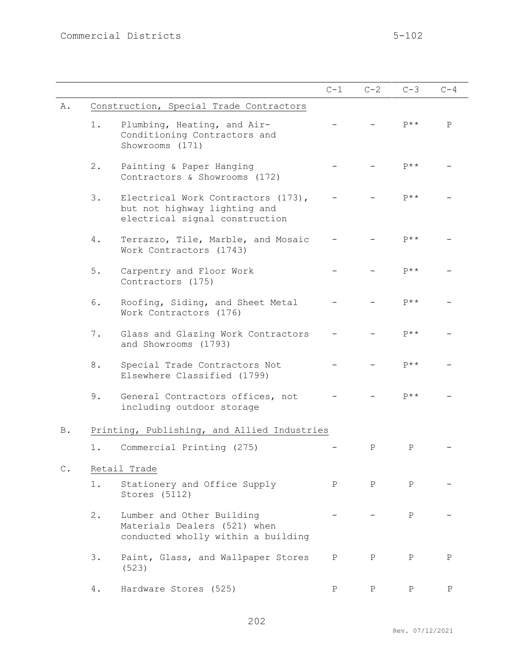|               |                                                                                                      | $C-1$        | $C-2$        | $C-3$        | $C-4$        |
|---------------|------------------------------------------------------------------------------------------------------|--------------|--------------|--------------|--------------|
| Α.            | Construction, Special Trade Contractors                                                              |              |              |              |              |
| 1.            | Plumbing, Heating, and Air-<br>Conditioning Contractors and<br>Showrooms (171)                       |              |              | $P$ **       | $\mathsf{P}$ |
| 2.            | Painting & Paper Hanging<br>Contractors & Showrooms (172)                                            |              |              | $P$ **       |              |
| 3.            | Electrical Work Contractors (173),<br>but not highway lighting and<br>electrical signal construction |              |              | $P$ **       |              |
| 4.            | Terrazzo, Tile, Marble, and Mosaic<br>Work Contractors (1743)                                        |              |              | $P$ **       |              |
| 5.            | Carpentry and Floor Work<br>Contractors (175)                                                        |              |              | $P$ **       |              |
| 6.            | Roofing, Siding, and Sheet Metal<br>Work Contractors (176)                                           |              |              | $P$ **       |              |
| 7.            | Glass and Glazing Work Contractors<br>and Showrooms (1793)                                           |              |              | $P$ **       |              |
| 8.            | Special Trade Contractors Not<br>Elsewhere Classified (1799)                                         |              |              | $P$ **       |              |
| 9.            | General Contractors offices, not<br>including outdoor storage                                        |              |              | $p**$        |              |
| <b>B</b> .    | Printing, Publishing, and Allied Industries                                                          |              |              |              |              |
| 1.            | Commercial Printing (275)                                                                            |              | Ρ            | $\mathbf P$  |              |
| $\mathbb C$ . | Retail Trade                                                                                         |              |              |              |              |
| $1$ .         | Stationery and Office Supply<br>Stores (5112)                                                        | $\mathbf{P}$ | $\mathbf{P}$ | $\mathbf{P}$ |              |
| $2$ .         | Lumber and Other Building<br>Materials Dealers (521) when<br>conducted wholly within a building      |              |              | $\mathbf{P}$ |              |
| 3.            | Paint, Glass, and Wallpaper Stores<br>(523)                                                          | $\mathbf P$  | $\mathbf P$  | $\mathbf{P}$ | $\mathbf{P}$ |
| 4.            | Hardware Stores (525)                                                                                | Ρ            | Ρ            | Ρ            | Ρ            |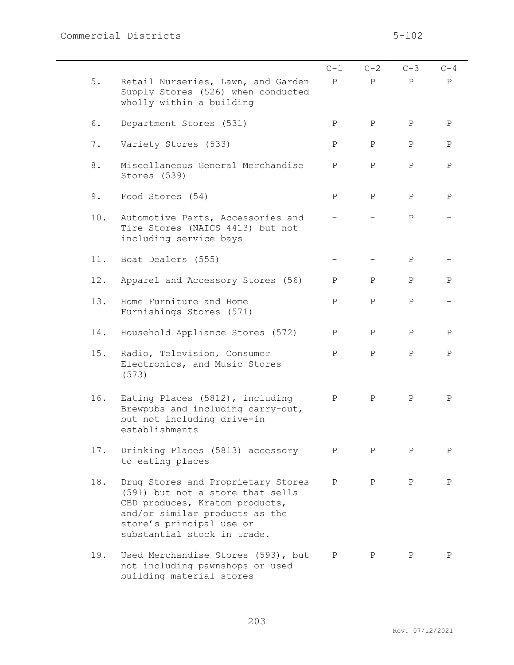|       |                                                                                                                                                                                                       | $C-1$        | $C-2$        | $C-3$        | $C-4$        |
|-------|-------------------------------------------------------------------------------------------------------------------------------------------------------------------------------------------------------|--------------|--------------|--------------|--------------|
| 5.    | Retail Nurseries, Lawn, and Garden<br>Supply Stores (526) when conducted<br>wholly within a building                                                                                                  | $\mathbf{P}$ | P            | $\mathbf{P}$ | $\mathbf{P}$ |
| 6.    | Department Stores (531)                                                                                                                                                                               | $\mathbf{P}$ | $\mathbf{P}$ | $\mathbf P$  | $\, {\bf P}$ |
| $7$ . | Variety Stores (533)                                                                                                                                                                                  | $\mathbf P$  | $\mathbf{P}$ | $\mathbf{P}$ | $\, {\bf P}$ |
| 8.    | Miscellaneous General Merchandise<br>Stores (539)                                                                                                                                                     | Ρ            | $\mathbf{P}$ | $\mathbf P$  | $\mathbf P$  |
| 9.    | Food Stores (54)                                                                                                                                                                                      | Ρ            | $\mathbf{P}$ | $\mathbf P$  | $\mathbf P$  |
| 10.   | Automotive Parts, Accessories and<br>Tire Stores (NAICS 4413) but not<br>including service bays                                                                                                       |              |              | $\mathbf{P}$ |              |
| 11.   | Boat Dealers (555)                                                                                                                                                                                    |              |              | $\mathbf P$  |              |
| 12.   | Apparel and Accessory Stores (56)                                                                                                                                                                     | $\mathbf{P}$ | $\mathbf{P}$ | $\mathbf{P}$ | Ρ            |
| 13.   | Home Furniture and Home<br>Furnishings Stores (571)                                                                                                                                                   | $\mathbf P$  | $\mathbf{P}$ | $\mathbf{P}$ |              |
| 14.   | Household Appliance Stores (572)                                                                                                                                                                      | $\mathbf P$  | $\mathbf{P}$ | Ρ            | Ρ            |
| 15.   | Radio, Television, Consumer<br>Electronics, and Music Stores<br>(573)                                                                                                                                 | $\mathbf{P}$ | $\, {\bf P}$ | $\, {\bf P}$ | $\, {\bf P}$ |
| 16.   | Eating Places (5812), including<br>Brewpubs and including carry-out,<br>but not including drive-in<br>establishments                                                                                  | Ρ            | $\mathbf{P}$ | Ρ            | Ρ            |
| 17.   | Drinking Places (5813) accessory<br>to eating places                                                                                                                                                  | $\mathbf P$  | $\mathbf{P}$ | $\mathbf{P}$ | $\mathbf P$  |
| 18.   | Drug Stores and Proprietary Stores<br>(591) but not a store that sells<br>CBD produces, Kratom products,<br>and/or similar products as the<br>store's principal use or<br>substantial stock in trade. | $\mathbf P$  | $\, {\bf P}$ | Ρ            | $\mathbf P$  |
| 19.   | Used Merchandise Stores (593), but<br>not including pawnshops or used<br>building material stores                                                                                                     | $\mathbf{P}$ | Ρ            | Ρ            | $\, {\bf P}$ |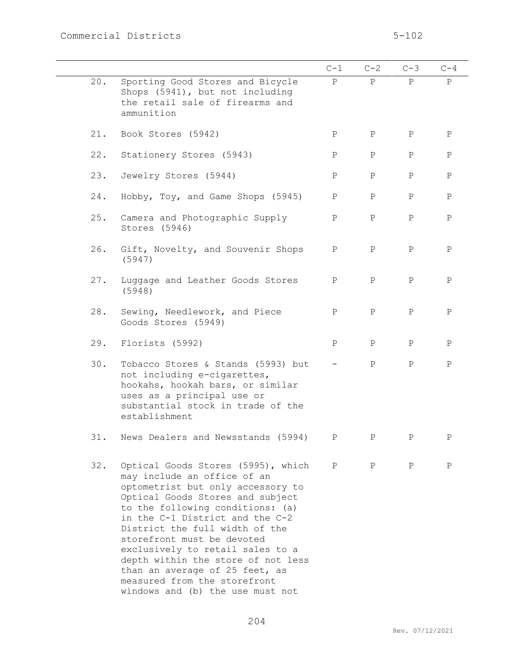|     |                                                                                                                                                                                                                                                                                                                                                                                                                                                                   | $C-1$        | $C-2$        | $C-3$        | $C-4$        |
|-----|-------------------------------------------------------------------------------------------------------------------------------------------------------------------------------------------------------------------------------------------------------------------------------------------------------------------------------------------------------------------------------------------------------------------------------------------------------------------|--------------|--------------|--------------|--------------|
| 20. | Sporting Good Stores and Bicycle<br>Shops (5941), but not including<br>the retail sale of firearms and<br>ammunition                                                                                                                                                                                                                                                                                                                                              | P            | P            | P            | P            |
| 21. | Book Stores (5942)                                                                                                                                                                                                                                                                                                                                                                                                                                                | Ρ            | $\mathbf P$  | $\mathbf P$  | $\, {\bf P}$ |
| 22. | Stationery Stores (5943)                                                                                                                                                                                                                                                                                                                                                                                                                                          | Ρ            | $\mathbf{P}$ | $\mathbf P$  | Ρ            |
| 23. | Jewelry Stores (5944)                                                                                                                                                                                                                                                                                                                                                                                                                                             | $\, {\bf P}$ | $\, {\bf P}$ | $\, {\bf P}$ | $\, {\bf P}$ |
| 24. | Hobby, Toy, and Game Shops (5945)                                                                                                                                                                                                                                                                                                                                                                                                                                 | Ρ            | $\, {\bf P}$ | Ρ            | $\, {\bf P}$ |
| 25. | Camera and Photographic Supply<br>Stores (5946)                                                                                                                                                                                                                                                                                                                                                                                                                   | $\mathbf P$  | $\, {\bf P}$ | $\mathbf P$  | $\, {\bf P}$ |
| 26. | Gift, Novelty, and Souvenir Shops<br>(5947)                                                                                                                                                                                                                                                                                                                                                                                                                       | $\mathbf P$  | $\, {\bf P}$ | $\mathbf P$  | $\, {\bf P}$ |
| 27. | Luggage and Leather Goods Stores<br>(5948)                                                                                                                                                                                                                                                                                                                                                                                                                        | $\mathbf P$  | $\mathbf{P}$ | $\mathbf P$  | $\, {\bf P}$ |
| 28. | Sewing, Needlework, and Piece<br>Goods Stores (5949)                                                                                                                                                                                                                                                                                                                                                                                                              | $\mathbf{P}$ | $\mathbf{P}$ | $\mathbf P$  | $\mathbf P$  |
| 29. | Florists (5992)                                                                                                                                                                                                                                                                                                                                                                                                                                                   | $\mathbf P$  | $\mathbf{P}$ | $\mathbf P$  | $\, {\bf P}$ |
| 30. | Tobacco Stores & Stands (5993) but<br>not including e-cigarettes,<br>hookahs, hookah bars, or similar<br>uses as a principal use or<br>substantial stock in trade of the<br>establishment                                                                                                                                                                                                                                                                         |              | $\mathbf{P}$ | $\mathbf P$  | $\, {\bf P}$ |
| 31. | News Dealers and Newsstands (5994)                                                                                                                                                                                                                                                                                                                                                                                                                                | Ρ            | $\, {\bf P}$ | $\mathbf P$  | Ρ            |
| 32. | Optical Goods Stores (5995), which<br>may include an office of an<br>optometrist but only accessory to<br>Optical Goods Stores and subject<br>to the following conditions: (a)<br>in the C-1 District and the C-2<br>District the full width of the<br>storefront must be devoted<br>exclusively to retail sales to a<br>depth within the store of not less<br>than an average of 25 feet, as<br>measured from the storefront<br>windows and (b) the use must not | P            | $\mathbb{P}$ | $\mathbf{P}$ | P            |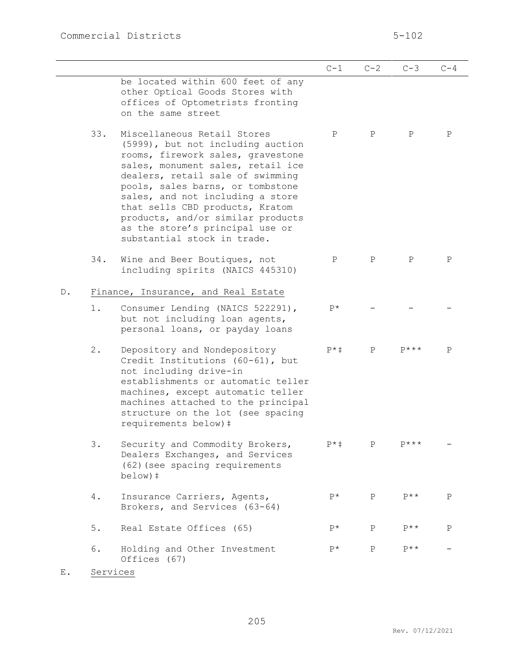|               |     |                                                                                                                                                                                                                                                                                                                                                                                                  | $C-1$       | $C-2$        | $C-3$        | $C-4$        |
|---------------|-----|--------------------------------------------------------------------------------------------------------------------------------------------------------------------------------------------------------------------------------------------------------------------------------------------------------------------------------------------------------------------------------------------------|-------------|--------------|--------------|--------------|
|               |     | be located within 600 feet of any<br>other Optical Goods Stores with<br>offices of Optometrists fronting<br>on the same street                                                                                                                                                                                                                                                                   |             |              |              |              |
|               | 33. | Miscellaneous Retail Stores<br>(5999), but not including auction<br>rooms, firework sales, gravestone<br>sales, monument sales, retail ice<br>dealers, retail sale of swimming<br>pools, sales barns, or tombstone<br>sales, and not including a store<br>that sells CBD products, Kratom<br>products, and/or similar products<br>as the store's principal use or<br>substantial stock in trade. | P           | $\mathbf{P}$ | $\mathbf P$  | $\mathbf P$  |
|               | 34. | Wine and Beer Boutiques, not<br>including spirits (NAICS 445310)                                                                                                                                                                                                                                                                                                                                 | Ρ           | $\mathbf{P}$ | $\mathbf{P}$ | $\mathbf{P}$ |
| $\mathbb D$ . |     | Finance, Insurance, and Real Estate                                                                                                                                                                                                                                                                                                                                                              |             |              |              |              |
|               | 1.  | Consumer Lending (NAICS 522291),<br>but not including loan agents,<br>personal loans, or payday loans                                                                                                                                                                                                                                                                                            | $P^{\star}$ |              |              |              |
|               | 2.  | Depository and Nondepository<br>Credit Institutions (60-61), but<br>not including drive-in<br>establishments or automatic teller<br>machines, except automatic teller<br>machines attached to the principal<br>structure on the lot (see spacing<br>requirements below) #                                                                                                                        | $P^*$ ‡     | $\mathbf{P}$ | $p***$       | P            |
|               | 3.  | Security and Commodity Brokers,<br>Dealers Exchanges, and Services<br>(62) (see spacing requirements<br>$below)$ ‡                                                                                                                                                                                                                                                                               | $P^*$ ‡     | P            | $P***$       |              |
|               | 4.  | Insurance Carriers, Agents,<br>Brokers, and Services (63-64)                                                                                                                                                                                                                                                                                                                                     | $P^{\star}$ | $\mathbf{P}$ | $P$ **       | $\rm P$      |
|               | 5.  | Real Estate Offices (65)                                                                                                                                                                                                                                                                                                                                                                         | $P^*$       | $\mathbf{P}$ | $P$ **       | $\mathbf P$  |
|               | 6.  | Holding and Other Investment<br>Offices (67)                                                                                                                                                                                                                                                                                                                                                     | $P^*$       | $\mathbf P$  | $p**$        |              |

E. Services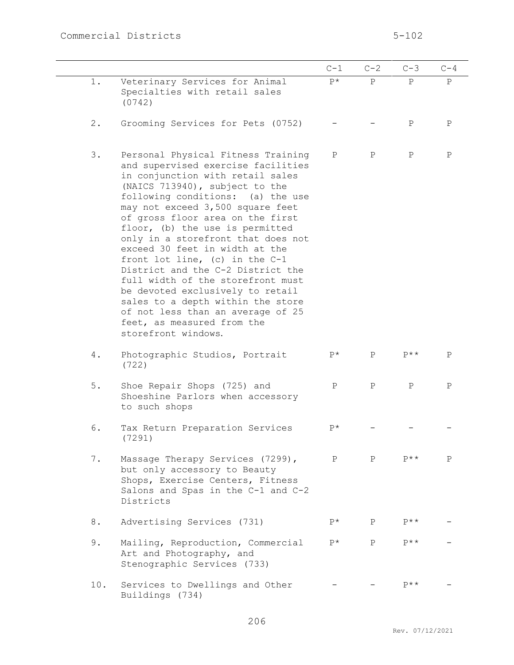|       |                                                                                                                                                                                                                                                                                                                                                                                                                                                                                                                                                                                                                                                         | $C-1$        | $C-2$        | $C-3$             | $C-4$        |
|-------|---------------------------------------------------------------------------------------------------------------------------------------------------------------------------------------------------------------------------------------------------------------------------------------------------------------------------------------------------------------------------------------------------------------------------------------------------------------------------------------------------------------------------------------------------------------------------------------------------------------------------------------------------------|--------------|--------------|-------------------|--------------|
| 1.    | Veterinary Services for Animal<br>Specialties with retail sales<br>(0742)                                                                                                                                                                                                                                                                                                                                                                                                                                                                                                                                                                               | $P^{\star}$  | P            | $\mathbf{P}$      | $\, {\bf P}$ |
| $2$ . | Grooming Services for Pets (0752)                                                                                                                                                                                                                                                                                                                                                                                                                                                                                                                                                                                                                       |              |              | Ρ                 | Ρ            |
| 3.    | Personal Physical Fitness Training<br>and supervised exercise facilities<br>in conjunction with retail sales<br>(NAICS 713940), subject to the<br>following conditions: (a) the use<br>may not exceed 3,500 square feet<br>of gross floor area on the first<br>floor, (b) the use is permitted<br>only in a storefront that does not<br>exceed 30 feet in width at the<br>front lot line, (c) in the $C-1$<br>District and the C-2 District the<br>full width of the storefront must<br>be devoted exclusively to retail<br>sales to a depth within the store<br>of not less than an average of 25<br>feet, as measured from the<br>storefront windows. | Ρ            | P            | Ρ                 | $\mathbf P$  |
| 4.    | Photographic Studios, Portrait<br>(722)                                                                                                                                                                                                                                                                                                                                                                                                                                                                                                                                                                                                                 | $P^{\star}$  | $\mathbf{P}$ | $P^{\star\star}$  | Ρ            |
| $5$ . | Shoe Repair Shops (725) and<br>Shoeshine Parlors when accessory<br>to such shops                                                                                                                                                                                                                                                                                                                                                                                                                                                                                                                                                                        | Ρ            | $\mathbf P$  | $\mathbf P$       | Ρ            |
| 6.    | Tax Return Preparation Services<br>(7291)                                                                                                                                                                                                                                                                                                                                                                                                                                                                                                                                                                                                               | P*           |              |                   |              |
| 7.    | Massage Therapy Services (7299),<br>but only accessory to Beauty<br>Shops, Exercise Centers, Fitness<br>Salons and Spas in the C-1 and C-2<br>Districts                                                                                                                                                                                                                                                                                                                                                                                                                                                                                                 | $\mathbf{P}$ | P            | $P^{\star \star}$ | P            |
| 8.    | Advertising Services (731)                                                                                                                                                                                                                                                                                                                                                                                                                                                                                                                                                                                                                              | $P^{\star}$  | $\mathbf{P}$ | $P$ **            |              |
| 9.    | Mailing, Reproduction, Commercial<br>Art and Photography, and<br>Stenographic Services (733)                                                                                                                                                                                                                                                                                                                                                                                                                                                                                                                                                            | $P^{\star}$  | $\mathsf{P}$ | $P$ **            |              |
| 10.   | Services to Dwellings and Other<br>Buildings (734)                                                                                                                                                                                                                                                                                                                                                                                                                                                                                                                                                                                                      |              |              | $P$ **            |              |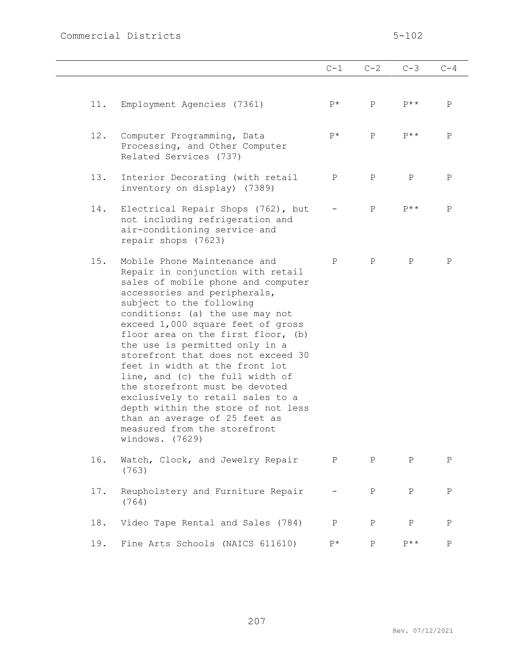# Commercial Districts 5-102

|     |                                                                                                                                                                                                                                                                                                                                                                                                                                                                                                                                                                                                                                | $C-1$       | $C-2$        | $C-3$            | $C-4$       |
|-----|--------------------------------------------------------------------------------------------------------------------------------------------------------------------------------------------------------------------------------------------------------------------------------------------------------------------------------------------------------------------------------------------------------------------------------------------------------------------------------------------------------------------------------------------------------------------------------------------------------------------------------|-------------|--------------|------------------|-------------|
| 11. | Employment Agencies (7361)                                                                                                                                                                                                                                                                                                                                                                                                                                                                                                                                                                                                     | $P^{\star}$ | $\mathsf{P}$ | $P^{\star\star}$ | P           |
| 12. | Computer Programming, Data<br>Processing, and Other Computer<br>Related Services (737)                                                                                                                                                                                                                                                                                                                                                                                                                                                                                                                                         | $P^{\star}$ | $\mathsf{P}$ | $P$ **           | P           |
| 13. | Interior Decorating (with retail<br>inventory on display) (7389)                                                                                                                                                                                                                                                                                                                                                                                                                                                                                                                                                               | $\mathbf P$ | $\mathbf{P}$ | $\mathbf P$      | $\mathbf P$ |
| 14. | Electrical Repair Shops (762), but<br>not including refrigeration and<br>air-conditioning service and<br>repair shops (7623)                                                                                                                                                                                                                                                                                                                                                                                                                                                                                                   |             | $\mathbf{P}$ | $P$ **           | P           |
| 15. | Mobile Phone Maintenance and<br>Repair in conjunction with retail<br>sales of mobile phone and computer<br>accessories and peripherals,<br>subject to the following<br>conditions: (a) the use may not<br>exceed 1,000 square feet of gross<br>floor area on the first floor, (b)<br>the use is permitted only in a<br>storefront that does not exceed 30<br>feet in width at the front lot<br>line, and (c) the full width of<br>the storefront must be devoted<br>exclusively to retail sales to a<br>depth within the store of not less<br>than an average of 25 feet as<br>measured from the storefront<br>windows. (7629) | $\mathbf P$ | $\mathbf{P}$ | $\mathbf P$      | Ρ           |
| 16. | Watch, Clock, and Jewelry Repair<br>(763)                                                                                                                                                                                                                                                                                                                                                                                                                                                                                                                                                                                      | P           | $\mathbf{P}$ | $\mathbf P$      | $\mathbf P$ |
| 17. | Reupholstery and Furniture Repair<br>(764)                                                                                                                                                                                                                                                                                                                                                                                                                                                                                                                                                                                     |             | Ρ            | Ρ                | Ρ           |
| 18. | Video Tape Rental and Sales (784)                                                                                                                                                                                                                                                                                                                                                                                                                                                                                                                                                                                              | Ρ           | Ρ            | Ρ                | Ρ           |
| 19. | Fine Arts Schools (NAICS 611610)                                                                                                                                                                                                                                                                                                                                                                                                                                                                                                                                                                                               | P*          | $\mathbf P$  | $P$ **           | $\mathbf P$ |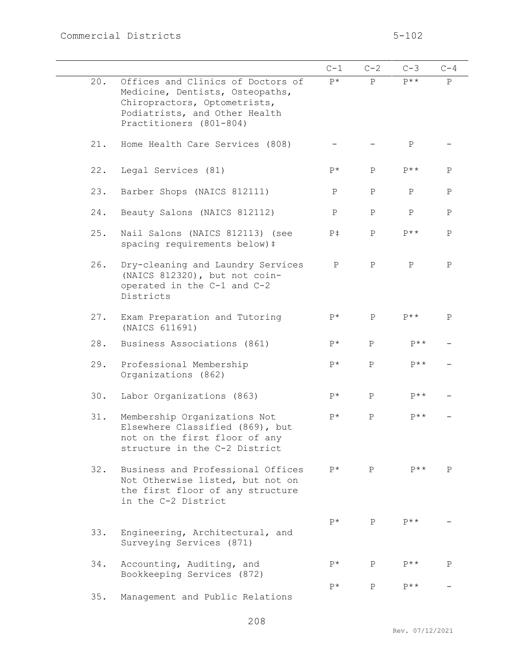|     |                                                                                                                                                                  | $C-1$          | $C-2$        | $C-3$        | $C-4$        |
|-----|------------------------------------------------------------------------------------------------------------------------------------------------------------------|----------------|--------------|--------------|--------------|
| 20. | Offices and Clinics of Doctors of<br>Medicine, Dentists, Osteopaths,<br>Chiropractors, Optometrists,<br>Podiatrists, and Other Health<br>Practitioners (801-804) | $P^*$          | $\mathsf{P}$ | $P$ **       | $\, {\bf P}$ |
| 21. | Home Health Care Services (808)                                                                                                                                  |                |              | $\mathbf P$  |              |
| 22. | Legal Services (81)                                                                                                                                              | $P*$           | $\mathbf{P}$ | $P$ **       | $\mathbf P$  |
| 23. | Barber Shops (NAICS 812111)                                                                                                                                      | $\, {\bf P}$   | $\, {\bf P}$ | $\mathbf P$  | $\mathbf P$  |
| 24. | Beauty Salons (NAICS 812112)                                                                                                                                     | $\, {\bf P}$   | $\, {\bf P}$ | $\, {\bf P}$ | $\mathbf P$  |
| 25. | Nail Salons (NAICS 812113) (see<br>spacing requirements below) #                                                                                                 | P <sup>†</sup> | $\, {\bf P}$ | $P$ **       | $\mathbf{P}$ |
| 26. | Dry-cleaning and Laundry Services<br>(NAICS 812320), but not coin-<br>operated in the C-1 and C-2<br>Districts                                                   | $\mathbf P$    | $\mathbf{P}$ | $\, {\bf P}$ | $\mathbf P$  |
| 27. | Exam Preparation and Tutoring<br>(NAICS 611691)                                                                                                                  | $P^{\star}$    | $\mathbf P$  | $P$ **       | $\mathbf P$  |
| 28. | Business Associations (861)                                                                                                                                      | $P^*$          | P            | $P$ **       |              |
| 29. | Professional Membership<br>Organizations (862)                                                                                                                   | $P^*$          | $\mathbf{P}$ | $P$ **       |              |
| 30. | Labor Organizations (863)                                                                                                                                        | $P^*$          | $\, {\bf P}$ | $p**$        |              |
| 31. | Membership Organizations Not<br>Elsewhere Classified (869), but<br>not on the first floor of any<br>structure in the C-2 District                                | $P^{\star}$    | $\, {\bf P}$ | $P$ **       |              |
| 32. | Business and Professional Offices<br>Not Otherwise listed, but not on<br>the first floor of any structure<br>in the C-2 District                                 | $P^{\star}$    | P            | $P$ **       | $\mathbf{P}$ |
| 33. | Engineering, Architectural, and<br>Surveying Services (871)                                                                                                      | $P^{\star}$    | $\mathbf{P}$ | $P$ **       |              |
| 34. | Accounting, Auditing, and<br>Bookkeeping Services (872)                                                                                                          | $P^*$          | P            | $P$ **       | P            |
| 35. | Management and Public Relations                                                                                                                                  | $P^{\star}$    | $\mathbf{P}$ | $P$ **       |              |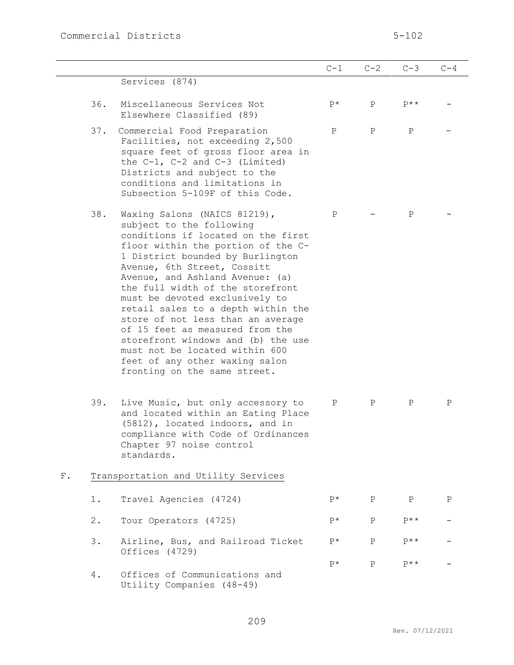|             |       |                                                                                                                                                                                                                                                                                                                                                                                                                                                                                                                                                                          | $C-1$       | $C-2$        | $C-3$        | $C-4$       |
|-------------|-------|--------------------------------------------------------------------------------------------------------------------------------------------------------------------------------------------------------------------------------------------------------------------------------------------------------------------------------------------------------------------------------------------------------------------------------------------------------------------------------------------------------------------------------------------------------------------------|-------------|--------------|--------------|-------------|
|             |       | Services (874)                                                                                                                                                                                                                                                                                                                                                                                                                                                                                                                                                           |             |              |              |             |
|             | 36.   | Miscellaneous Services Not<br>Elsewhere Classified (89)                                                                                                                                                                                                                                                                                                                                                                                                                                                                                                                  | $P^{\star}$ | $\mathbf{P}$ | $P$ **       |             |
|             | 37.   | Commercial Food Preparation<br>Facilities, not exceeding 2,500<br>square feet of gross floor area in<br>the $C-1$ , $C-2$ and $C-3$ (Limited)<br>Districts and subject to the<br>conditions and limitations in<br>Subsection 5-109F of this Code.                                                                                                                                                                                                                                                                                                                        | $\mathbf P$ | $\mathbf{P}$ | $\mathbf P$  |             |
|             | 38.   | Waxing Salons (NAICS 81219),<br>subject to the following<br>conditions if located on the first<br>floor within the portion of the C-<br>1 District bounded by Burlington<br>Avenue, 6th Street, Cossitt<br>Avenue, and Ashland Avenue: (a)<br>the full width of the storefront<br>must be devoted exclusively to<br>retail sales to a depth within the<br>store of not less than an average<br>of 15 feet as measured from the<br>storefront windows and (b) the use<br>must not be located within 600<br>feet of any other waxing salon<br>fronting on the same street. | $\mathbf P$ |              | $\mathbf P$  |             |
|             | 39.   | Live Music, but only accessory to<br>and located within an Eating Place<br>(5812), located indoors, and in<br>compliance with Code of Ordinances<br>Chapter 97 noise control<br>standards.                                                                                                                                                                                                                                                                                                                                                                               | Ρ           | $\mathbf{P}$ | Ρ            | Ρ           |
| ${\rm F}$ . |       | Transportation and Utility Services                                                                                                                                                                                                                                                                                                                                                                                                                                                                                                                                      |             |              |              |             |
|             | 1.    | Travel Agencies (4724)                                                                                                                                                                                                                                                                                                                                                                                                                                                                                                                                                   | $P^*$       | $\mathbf{P}$ | $\mathbf{P}$ | $\mathbf P$ |
|             | $2$ . | Tour Operators (4725)                                                                                                                                                                                                                                                                                                                                                                                                                                                                                                                                                    | $P^{\star}$ | $\mathbf{P}$ | $P$ **       |             |
|             | 3.    | Airline, Bus, and Railroad Ticket<br>Offices (4729)                                                                                                                                                                                                                                                                                                                                                                                                                                                                                                                      | $P^{\star}$ | $\, {\bf P}$ | $P$ **       |             |
|             | 4.    | Offices of Communications and<br>Utility Companies (48-49)                                                                                                                                                                                                                                                                                                                                                                                                                                                                                                               | $P^{\star}$ | $\mathbf{P}$ | $P$ **       |             |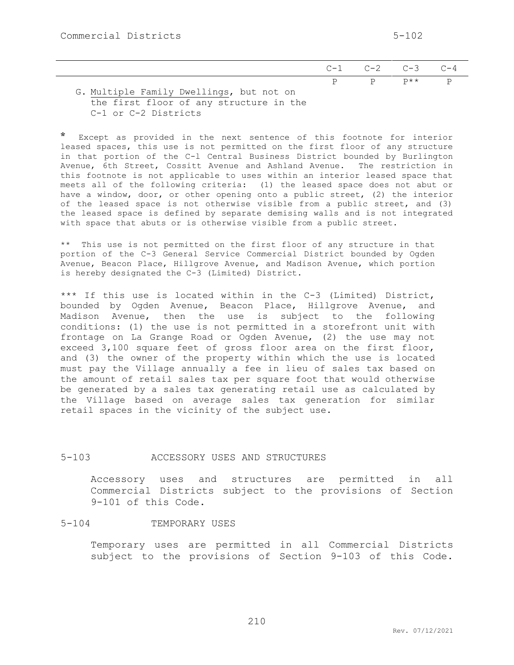|                                         | $C-1$ $C-2$ $C-3$ $C-4$ |                      |
|-----------------------------------------|-------------------------|----------------------|
|                                         |                         | $P$ $P$ $P^{**}$ $P$ |
| G Multiple Family Dwellings, but not on |                         |                      |

G. Multiple Family Dwellings, but not on the first floor of any structure in the C-1 or C-2 Districts

\* Except as provided in the next sentence of this footnote for interior leased spaces, this use is not permitted on the first floor of any structure in that portion of the C-l Central Business District bounded by Burlington Avenue, 6th Street, Cossitt Avenue and Ashland Avenue. The restriction in this footnote is not applicable to uses within an interior leased space that meets all of the following criteria: (1) the leased space does not abut or have a window, door, or other opening onto a public street, (2) the interior of the leased space is not otherwise visible from a public street, and (3) the leased space is defined by separate demising walls and is not integrated with space that abuts or is otherwise visible from a public street.

\*\* This use is not permitted on the first floor of any structure in that portion of the C-3 General Service Commercial District bounded by Ogden Avenue, Beacon Place, Hillgrove Avenue, and Madison Avenue, which portion is hereby designated the C-3 (Limited) District.

\*\*\* If this use is located within in the C-3 (Limited) District, bounded by Ogden Avenue, Beacon Place, Hillgrove Avenue, and Madison Avenue, then the use is subject to the following conditions: (1) the use is not permitted in a storefront unit with frontage on La Grange Road or Ogden Avenue, (2) the use may not exceed 3,100 square feet of gross floor area on the first floor, and (3) the owner of the property within which the use is located must pay the Village annually a fee in lieu of sales tax based on the amount of retail sales tax per square foot that would otherwise be generated by a sales tax generating retail use as calculated by the Village based on average sales tax generation for similar retail spaces in the vicinity of the subject use.

### 5-103 ACCESSORY USES AND STRUCTURES

Accessory uses and structures are permitted in all Commercial Districts subject to the provisions of Section 9-101 of this Code.

#### 5-104 TEMPORARY USES

Temporary uses are permitted in all Commercial Districts subject to the provisions of Section 9-103 of this Code.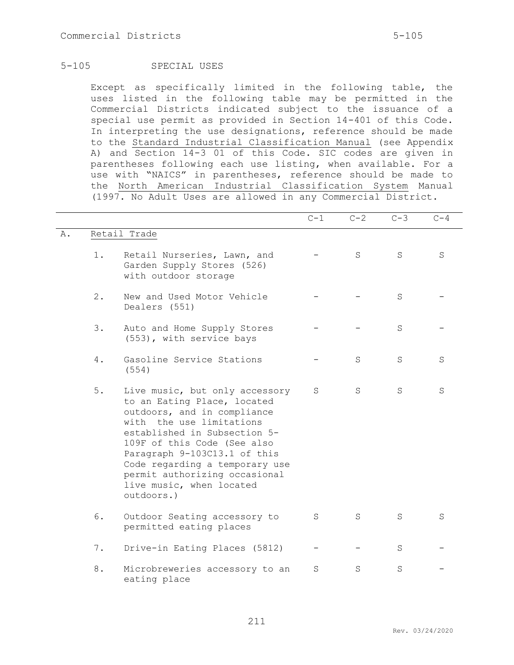# 5-105 SPECIAL USES

Except as specifically limited in the following table, the uses listed in the following table may be permitted in the Commercial Districts indicated subject to the issuance of a special use permit as provided in Section 14-401 of this Code. In interpreting the use designations, reference should be made to the Standard Industrial Classification Manual (see Appendix A) and Section 14-3 01 of this Code. SIC codes are given in parentheses following each use listing, when available. For a use with "NAICS" in parentheses, reference should be made to the North American Industrial Classification System Manual (1997. No Adult Uses are allowed in any Commercial District.

|    |       |                                                                                                                                                                                                                                                                                                                                      | $C-1$ | $C-2$ | $C-3$   | $C-4$ |
|----|-------|--------------------------------------------------------------------------------------------------------------------------------------------------------------------------------------------------------------------------------------------------------------------------------------------------------------------------------------|-------|-------|---------|-------|
| Α. |       | Retail Trade                                                                                                                                                                                                                                                                                                                         |       |       |         |       |
|    | $1$ . | Retail Nurseries, Lawn, and<br>Garden Supply Stores (526)<br>with outdoor storage                                                                                                                                                                                                                                                    |       | S     | S       | S     |
|    | $2$ . | New and Used Motor Vehicle<br>Dealers (551)                                                                                                                                                                                                                                                                                          |       |       | S       |       |
|    | 3.    | Auto and Home Supply Stores<br>(553), with service bays                                                                                                                                                                                                                                                                              |       |       | S       |       |
|    | 4.    | Gasoline Service Stations<br>(554)                                                                                                                                                                                                                                                                                                   |       | S     | S       | S     |
|    | 5.    | Live music, but only accessory<br>to an Eating Place, located<br>outdoors, and in compliance<br>with the use limitations<br>established in Subsection 5-<br>109F of this Code (See also<br>Paragraph 9-103C13.1 of this<br>Code regarding a temporary use<br>permit authorizing occasional<br>live music, when located<br>outdoors.) | S     | S     | S       | S     |
|    | 6.    | Outdoor Seating accessory to<br>permitted eating places                                                                                                                                                                                                                                                                              | S     | S     | S       | S     |
|    | 7.    | Drive-in Eating Places (5812)                                                                                                                                                                                                                                                                                                        |       |       | S       |       |
|    | 8.    | Microbreweries accessory to an<br>eating place                                                                                                                                                                                                                                                                                       | S     | S     | $\rm S$ |       |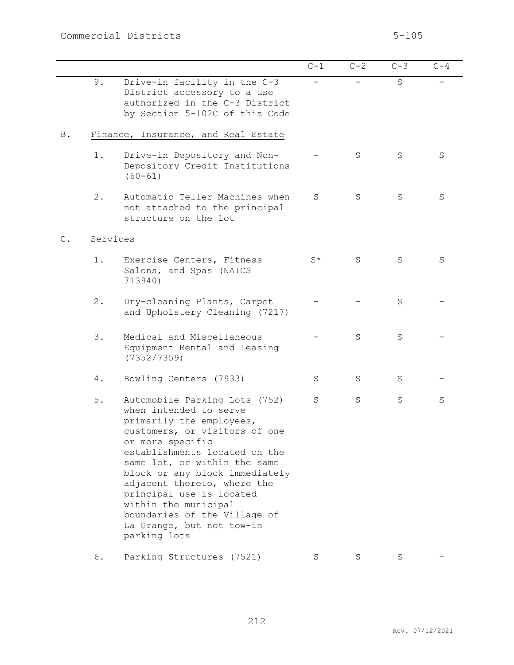|                |          |                                                                                                                                                                                                                                                                                                                                                                                                             | $C-1$       | $C-2$ | $C-3$ | $C-4$ |
|----------------|----------|-------------------------------------------------------------------------------------------------------------------------------------------------------------------------------------------------------------------------------------------------------------------------------------------------------------------------------------------------------------------------------------------------------------|-------------|-------|-------|-------|
|                | 9.       | Drive-in facility in the C-3<br>District accessory to a use<br>authorized in the C-3 District<br>by Section 5-102C of this Code                                                                                                                                                                                                                                                                             |             |       | S     |       |
| <b>B</b> .     |          | Finance, Insurance, and Real Estate                                                                                                                                                                                                                                                                                                                                                                         |             |       |       |       |
|                | $1$ .    | Drive-in Depository and Non-<br>Depository Credit Institutions<br>$(60 - 61)$                                                                                                                                                                                                                                                                                                                               |             | S     | S     | S     |
|                | 2.       | Automatic Teller Machines when<br>not attached to the principal<br>structure on the lot                                                                                                                                                                                                                                                                                                                     | S           | S     | S     | S     |
| $\mathsf{C}$ . | Services |                                                                                                                                                                                                                                                                                                                                                                                                             |             |       |       |       |
|                | 1.       | Exercise Centers, Fitness<br>Salons, and Spas (NAICS<br>713940)                                                                                                                                                                                                                                                                                                                                             | $S^{\star}$ | S     | S     | S     |
|                | 2.       | Dry-cleaning Plants, Carpet<br>and Upholstery Cleaning (7217)                                                                                                                                                                                                                                                                                                                                               |             |       | S     |       |
|                | 3.       | Medical and Miscellaneous<br>Equipment Rental and Leasing<br>(7352/7359)                                                                                                                                                                                                                                                                                                                                    |             | S     | S     |       |
|                | 4.       | Bowling Centers (7933)                                                                                                                                                                                                                                                                                                                                                                                      | S           | S     | S     |       |
|                | 5.       | Automobile Parking Lots (752)<br>when intended to serve<br>primarily the employees,<br>customers, or visitors of one<br>or more specific<br>establishments located on the<br>same lot, or within the same<br>block or any block immediately<br>adjacent thereto, where the<br>principal use is located<br>within the municipal<br>boundaries of the Village of<br>La Grange, but not tow-in<br>parking lots | S           | S     | S     | S     |
|                | 6.       | Parking Structures (7521)                                                                                                                                                                                                                                                                                                                                                                                   | S           | S     | S     |       |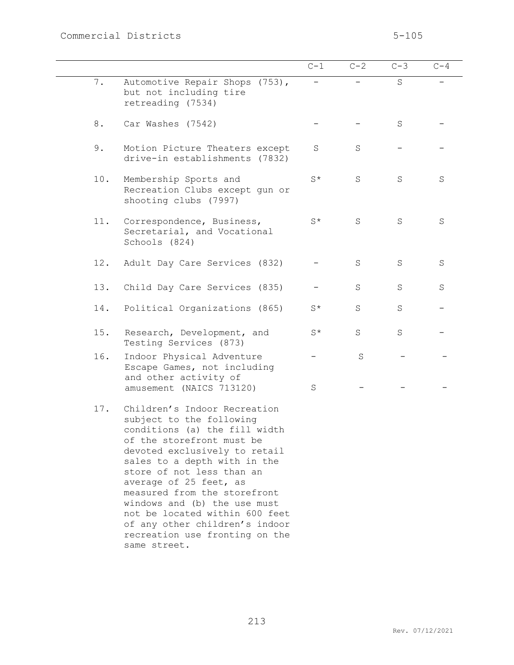|     |                                                                                                                                                                                                                                                                                                                                                                                                                                      | $C-1$   | $C-2$       | $C-3$ | $C-4$   |
|-----|--------------------------------------------------------------------------------------------------------------------------------------------------------------------------------------------------------------------------------------------------------------------------------------------------------------------------------------------------------------------------------------------------------------------------------------|---------|-------------|-------|---------|
| 7.  | Automotive Repair Shops (753),<br>but not including tire<br>retreading (7534)                                                                                                                                                                                                                                                                                                                                                        |         |             | S     |         |
| 8.  | Car Washes (7542)                                                                                                                                                                                                                                                                                                                                                                                                                    |         |             | S     |         |
| 9.  | Motion Picture Theaters except<br>drive-in establishments (7832)                                                                                                                                                                                                                                                                                                                                                                     | S       | S           |       |         |
| 10. | Membership Sports and<br>Recreation Clubs except gun or<br>shooting clubs (7997)                                                                                                                                                                                                                                                                                                                                                     | $S^*$   | S           | S     | S       |
| 11. | Correspondence, Business,<br>Secretarial, and Vocational<br>Schools (824)                                                                                                                                                                                                                                                                                                                                                            | $S^*$   | $\rm S$     | S     | $\rm S$ |
| 12. | Adult Day Care Services (832)                                                                                                                                                                                                                                                                                                                                                                                                        |         | S           | S     | $\rm S$ |
| 13. | Child Day Care Services (835)                                                                                                                                                                                                                                                                                                                                                                                                        |         | S           | S     | S       |
| 14. | Political Organizations (865)                                                                                                                                                                                                                                                                                                                                                                                                        | $S^*$   | $\rm S$     | S     |         |
| 15. | Research, Development, and<br>Testing Services (873)                                                                                                                                                                                                                                                                                                                                                                                 | $S^*$   | $\mathbf S$ | S     |         |
| 16. | Indoor Physical Adventure<br>Escape Games, not including<br>and other activity of                                                                                                                                                                                                                                                                                                                                                    |         | S           |       |         |
|     | amusement (NAICS 713120)                                                                                                                                                                                                                                                                                                                                                                                                             | $\rm S$ |             |       |         |
| 17. | Children's Indoor Recreation<br>subject to the following<br>conditions (a) the fill width<br>of the storefront must be<br>devoted exclusively to retail<br>sales to a depth with in the<br>store of not less than an<br>average of 25 feet, as<br>measured from the storefront<br>windows and (b) the use must<br>not be located within 600 feet<br>of any other children's indoor<br>recreation use fronting on the<br>same street. |         |             |       |         |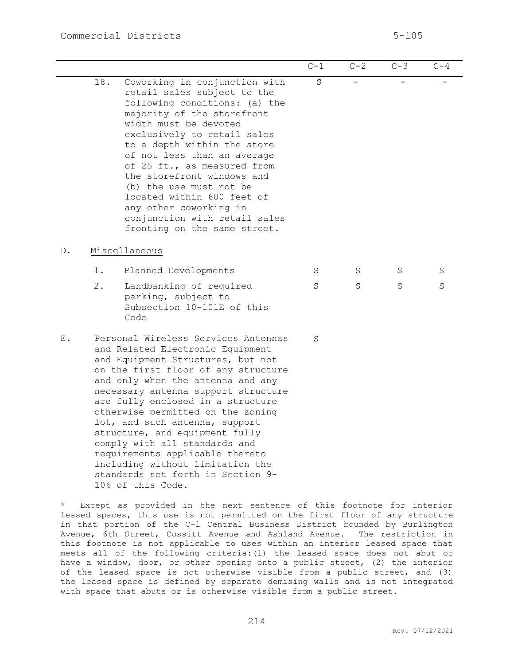|    |                                                                                                                                                                                                                                                                                                                                                                                                                                                                                                                                                 |                                                                                                                                                                                                                                                                                                                                                                                                                                                                    | $C-1$   | $C-2$ | $C-3$                    | $C-4$ |  |  |  |  |
|----|-------------------------------------------------------------------------------------------------------------------------------------------------------------------------------------------------------------------------------------------------------------------------------------------------------------------------------------------------------------------------------------------------------------------------------------------------------------------------------------------------------------------------------------------------|--------------------------------------------------------------------------------------------------------------------------------------------------------------------------------------------------------------------------------------------------------------------------------------------------------------------------------------------------------------------------------------------------------------------------------------------------------------------|---------|-------|--------------------------|-------|--|--|--|--|
|    | 18.                                                                                                                                                                                                                                                                                                                                                                                                                                                                                                                                             | Coworking in conjunction with<br>retail sales subject to the<br>following conditions: (a) the<br>majority of the storefront<br>width must be devoted<br>exclusively to retail sales<br>to a depth within the store<br>of not less than an average<br>of 25 ft., as measured from<br>the storefront windows and<br>(b) the use must not be<br>located within 600 feet of<br>any other coworking in<br>conjunction with retail sales<br>fronting on the same street. | $\rm S$ |       | $\overline{\phantom{0}}$ |       |  |  |  |  |
| D. | Miscellaneous                                                                                                                                                                                                                                                                                                                                                                                                                                                                                                                                   |                                                                                                                                                                                                                                                                                                                                                                                                                                                                    |         |       |                          |       |  |  |  |  |
|    | 1.                                                                                                                                                                                                                                                                                                                                                                                                                                                                                                                                              | Planned Developments                                                                                                                                                                                                                                                                                                                                                                                                                                               | S       | S     | S                        | S     |  |  |  |  |
|    | $2$ .                                                                                                                                                                                                                                                                                                                                                                                                                                                                                                                                           | Landbanking of required<br>parking, subject to<br>Subsection 10-101E of this<br>Code                                                                                                                                                                                                                                                                                                                                                                               | S       | S     | S                        | S     |  |  |  |  |
| Ε. | Personal Wireless Services Antennas<br>and Related Electronic Equipment<br>and Equipment Structures, but not<br>on the first floor of any structure<br>and only when the antenna and any<br>necessary antenna support structure<br>are fully enclosed in a structure<br>otherwise permitted on the zoning<br>lot, and such antenna, support<br>structure, and equipment fully<br>comply with all standards and<br>requirements applicable thereto<br>including without limitation the<br>standards set forth in Section 9-<br>106 of this Code. |                                                                                                                                                                                                                                                                                                                                                                                                                                                                    | S       |       |                          |       |  |  |  |  |

\* Except as provided in the next sentence of this footnote for interior leased spaces, this use is not permitted on the first floor of any structure in that portion of the C-l Central Business District bounded by Burlington Avenue, 6th Street, Cossitt Avenue and Ashland Avenue. The restriction in this footnote is not applicable to uses within an interior leased space that meets all of the following criteria:(1) the leased space does not abut or have a window, door, or other opening onto a public street, (2) the interior of the leased space is not otherwise visible from a public street, and (3) the leased space is defined by separate demising walls and is not integrated with space that abuts or is otherwise visible from a public street.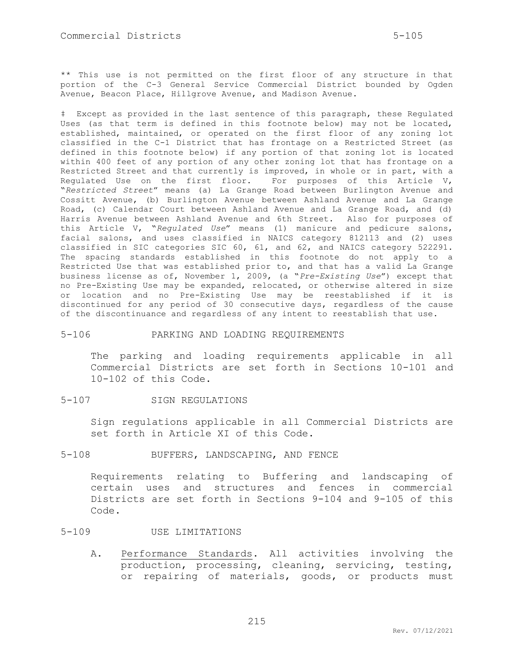\*\* This use is not permitted on the first floor of any structure in that portion of the C-3 General Service Commercial District bounded by Ogden Avenue, Beacon Place, Hillgrove Avenue, and Madison Avenue.

‡ Except as provided in the last sentence of this paragraph, these Regulated Uses (as that term is defined in this footnote below) may not be located, established, maintained, or operated on the first floor of any zoning lot classified in the C-1 District that has frontage on a Restricted Street (as defined in this footnote below) if any portion of that zoning lot is located within 400 feet of any portion of any other zoning lot that has frontage on a Restricted Street and that currently is improved, in whole or in part, with a Regulated Use on the first floor. For purposes of this Article V, "*Restricted Street*" means (a) La Grange Road between Burlington Avenue and Cossitt Avenue, (b) Burlington Avenue between Ashland Avenue and La Grange Road, (c) Calendar Court between Ashland Avenue and La Grange Road, and (d) Harris Avenue between Ashland Avenue and 6th Street. Also for purposes of this Article V, "*Regulated Use*" means (1) manicure and pedicure salons, facial salons, and uses classified in NAICS category 812113 and (2) uses classified in SIC categories SIC 60, 61, and 62, and NAICS category 522291. The spacing standards established in this footnote do not apply to a Restricted Use that was established prior to, and that has a valid La Grange business license as of, November 1, 2009, (a "*Pre-Existing Use*") except that no Pre-Existing Use may be expanded, relocated, or otherwise altered in size or location and no Pre-Existing Use may be reestablished if it is discontinued for any period of 30 consecutive days, regardless of the cause of the discontinuance and regardless of any intent to reestablish that use.

### 5-106 PARKING AND LOADING REQUIREMENTS

The parking and loading requirements applicable in all Commercial Districts are set forth in Sections 10-101 and 10-102 of this Code.

#### 5-107 SIGN REGULATIONS

Sign regulations applicable in all Commercial Districts are set forth in Article XI of this Code.

### 5-108 BUFFERS, LANDSCAPING, AND FENCE

Requirements relating to Buffering and landscaping of certain uses and structures and fences in commercial Districts are set forth in Sections 9-104 and 9-105 of this Code.

### 5-109 USE LIMITATIONS

A. Performance Standards. All activities involving the production, processing, cleaning, servicing, testing, or repairing of materials, goods, or products must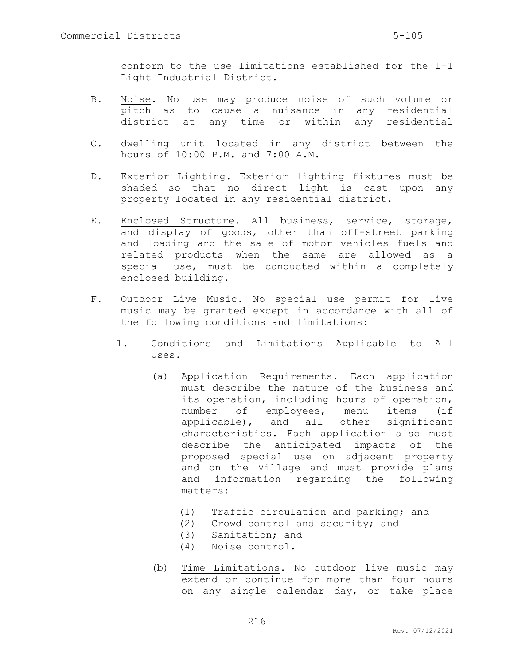conform to the use limitations established for the 1-1 Light Industrial District.

- B. Noise. No use may produce noise of such volume or pitch as to cause a nuisance in any residential district at any time or within any residential
- C. dwelling unit located in any district between the hours of 10:00 P.M. and 7:00 A.M.
- D. Exterior Lighting. Exterior lighting fixtures must be shaded so that no direct light is cast upon any property located in any residential district.
- E. Enclosed Structure. All business, service, storage, and display of goods, other than off-street parking and loading and the sale of motor vehicles fuels and related products when the same are allowed as a special use, must be conducted within a completely enclosed building.
- F. Outdoor Live Music. No special use permit for live music may be granted except in accordance with all of the following conditions and limitations:
	- 1. Conditions and Limitations Applicable to All Uses.
		- (a) Application Requirements. Each application must describe the nature of the business and its operation, including hours of operation, number of employees, menu items (if applicable), and all other significant characteristics. Each application also must describe the anticipated impacts of the proposed special use on adjacent property and on the Village and must provide plans and information regarding the following matters:
			- (1) Traffic circulation and parking; and
			- (2) Crowd control and security; and
			- (3) Sanitation; and
			- (4) Noise control.
		- (b) Time Limitations. No outdoor live music may extend or continue for more than four hours on any single calendar day, or take place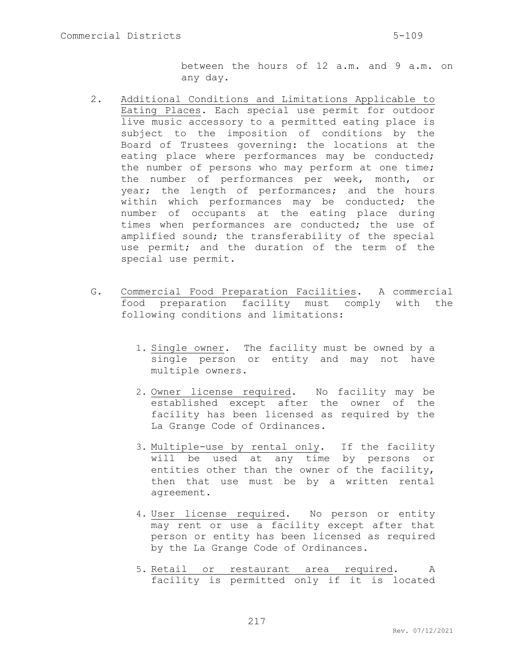between the hours of 12 a.m. and 9 a.m. on any day.

- 2. Additional Conditions and Limitations Applicable to Eating Places. Each special use permit for outdoor live music accessory to a permitted eating place is subject to the imposition of conditions by the Board of Trustees governing: the locations at the eating place where performances may be conducted; the number of persons who may perform at one time; the number of performances per week, month, or year; the length of performances; and the hours within which performances may be conducted; the number of occupants at the eating place during times when performances are conducted; the use of amplified sound; the transferability of the special use permit; and the duration of the term of the special use permit.
- G. Commercial Food Preparation Facilities. A commercial food preparation facility must comply with the following conditions and limitations:
	- 1. Single owner. The facility must be owned by a single person or entity and may not have multiple owners.
	- 2. Owner license required. No facility may be established except after the owner of the facility has been licensed as required by the La Grange Code of Ordinances.
	- 3. Multiple-use by rental only. If the facility will be used at any time by persons or entities other than the owner of the facility, then that use must be by a written rental agreement.
	- 4. User license required. No person or entity may rent or use a facility except after that person or entity has been licensed as required by the La Grange Code of Ordinances.
	- 5. Retail or restaurant area required. A facility is permitted only if it is located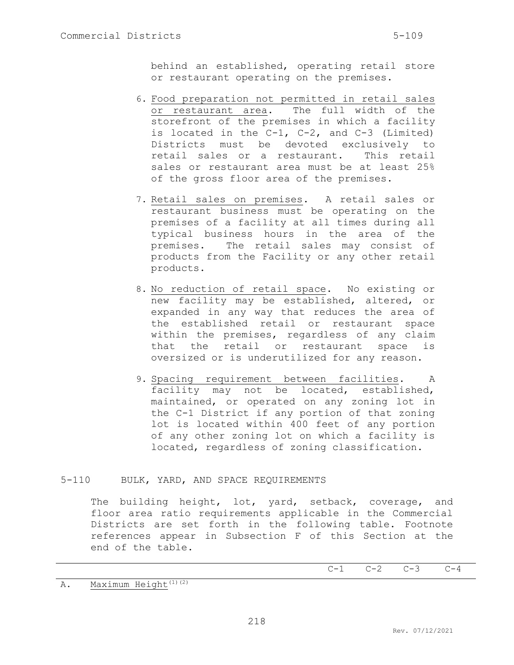behind an established, operating retail store or restaurant operating on the premises.

- 6. Food preparation not permitted in retail sales or restaurant area. The full width of the storefront of the premises in which a facility is located in the C-1, C-2, and C-3 (Limited) Districts must be devoted exclusively to retail sales or a restaurant. This retail sales or restaurant area must be at least 25% of the gross floor area of the premises.
- 7. Retail sales on premises. A retail sales or restaurant business must be operating on the premises of a facility at all times during all typical business hours in the area of the premises. The retail sales may consist of products from the Facility or any other retail products.
- 8. No reduction of retail space. No existing or new facility may be established, altered, or expanded in any way that reduces the area of the established retail or restaurant space within the premises, regardless of any claim that the retail or restaurant space is oversized or is underutilized for any reason.
- 9. Spacing requirement between facilities. A facility may not be located, established, maintained, or operated on any zoning lot in the C-1 District if any portion of that zoning lot is located within 400 feet of any portion of any other zoning lot on which a facility is located, regardless of zoning classification.

## 5-110 BULK, YARD, AND SPACE REQUIREMENTS

The building height, lot, yard, setback, coverage, and floor area ratio requirements applicable in the Commercial Districts are set forth in the following table. Footnote references appear in Subsection F of this Section at the end of the table.

 $C-1$   $C-2$   $C-3$   $C-4$ 

A. Maximum Height<sup>(1)(2)</sup>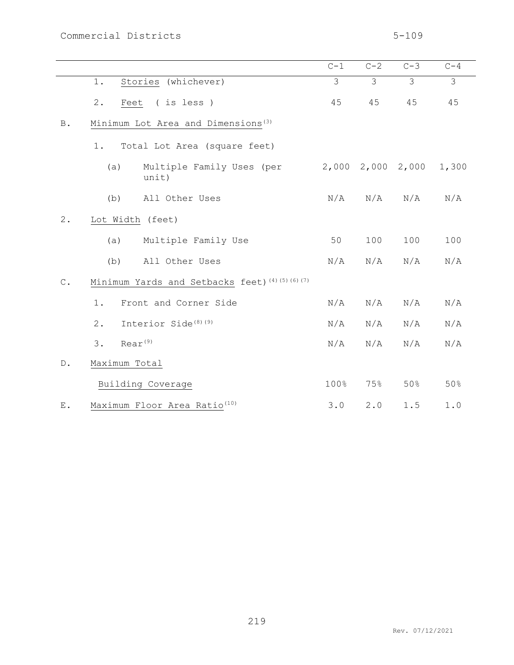|               |                                                  | $C-1$ | $C-2$ | $C-3$                   | $C-4$ |  |  |  |
|---------------|--------------------------------------------------|-------|-------|-------------------------|-------|--|--|--|
|               | Stories (whichever)<br>1.                        | 3     | 3     | 3                       | 3     |  |  |  |
|               | 2.<br>Feet (is less)                             | 45    | 45    | 45                      | 45    |  |  |  |
| <b>B</b> .    | Minimum Lot Area and Dimensions <sup>(3)</sup>   |       |       |                         |       |  |  |  |
|               | Total Lot Area (square feet)<br>1.               |       |       |                         |       |  |  |  |
|               | Multiple Family Uses (per<br>(a)<br>unit)        |       |       | $2,000$ $2,000$ $2,000$ | 1,300 |  |  |  |
|               | (b)<br>All Other Uses                            | N/A   | N/A   | N/A                     | N/A   |  |  |  |
| 2.            | Lot Width (feet)                                 |       |       |                         |       |  |  |  |
|               | Multiple Family Use<br>(a)                       | 50    | 100   | 100                     | 100   |  |  |  |
|               | All Other Uses<br>(b)                            | N/A   | N/A   | N/A                     | N/A   |  |  |  |
| $\mathbb C$ . | Minimum Yards and Setbacks feet) (4) (5) (6) (7) |       |       |                         |       |  |  |  |
|               | Front and Corner Side<br>1.                      | N/A   | N/A   | N/A                     | N/A   |  |  |  |
|               | Interior Side <sup>(8)(9)</sup><br>2.            | N/A   | N/A   | N/A                     | N/A   |  |  |  |
|               | $Rear^{(9)}$<br>3.                               | N/A   | N/A   | N/A                     | N/A   |  |  |  |
| $D$ .         | Maximum Total                                    |       |       |                         |       |  |  |  |
|               | Building Coverage                                | 100%  | 75%   | 50%                     | 50%   |  |  |  |
| Ε.            | Maximum Floor Area Ratio <sup>(10)</sup>         | 3.0   | 2.0   | $1.5$                   | $1.0$ |  |  |  |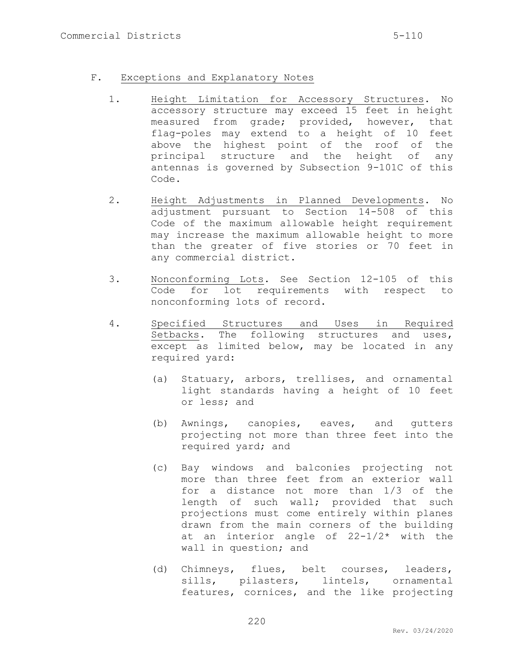## F. Exceptions and Explanatory Notes

- 1. Height Limitation for Accessory Structures. No accessory structure may exceed 15 feet in height measured from grade; provided, however, that flag-poles may extend to a height of 10 feet above the highest point of the roof of the principal structure and the height of any antennas is governed by Subsection 9-101C of this Code.
- 2. Height Adjustments in Planned Developments. No adjustment pursuant to Section 14-508 of this Code of the maximum allowable height requirement may increase the maximum allowable height to more than the greater of five stories or 70 feet in any commercial district.
- 3. Nonconforming Lots. See Section 12-105 of this Code for lot requirements with respect to nonconforming lots of record.
- 4. Specified Structures and Uses in Required Setbacks. The following structures and uses, except as limited below, may be located in any required yard:
	- (a) Statuary, arbors, trellises, and ornamental light standards having a height of 10 feet or less; and
	- (b) Awnings, canopies, eaves, and gutters projecting not more than three feet into the required yard; and
	- (c) Bay windows and balconies projecting not more than three feet from an exterior wall for a distance not more than 1/3 of the length of such wall; provided that such projections must come entirely within planes drawn from the main corners of the building at an interior angle of 22-1/2\* with the wall in question; and
	- (d) Chimneys, flues, belt courses, leaders, sills, pilasters, lintels, ornamental features, cornices, and the like projecting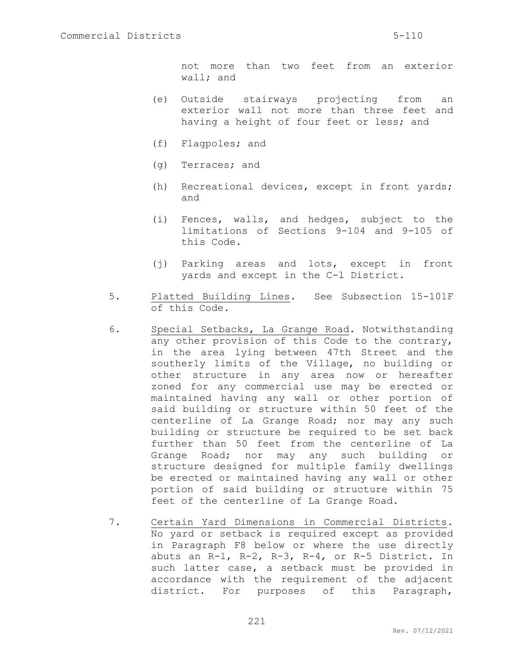not more than two feet from an exterior wall; and

- (e) Outside stairways projecting from an exterior wall not more than three feet and having a height of four feet or less; and
- (f) Flagpoles; and
- (g) Terraces; and
- (h) Recreational devices, except in front yards; and
- (i) Fences, walls, and hedges, subject to the limitations of Sections 9-104 and 9-105 of this Code.
- (j) Parking areas and lots, except in front yards and except in the C-l District.
- 5. Platted Building Lines. See Subsection 15-101F of this Code.
- 6. Special Setbacks, La Grange Road. Notwithstanding any other provision of this Code to the contrary, in the area lying between 47th Street and the southerly limits of the Village, no building or other structure in any area now or hereafter zoned for any commercial use may be erected or maintained having any wall or other portion of said building or structure within 50 feet of the centerline of La Grange Road; nor may any such building or structure be required to be set back further than 50 feet from the centerline of La Grange Road; nor may any such building or structure designed for multiple family dwellings be erected or maintained having any wall or other portion of said building or structure within 75 feet of the centerline of La Grange Road.
- 7. Certain Yard Dimensions in Commercial Districts. No yard or setback is required except as provided in Paragraph F8 below or where the use directly abuts an R-l, R-2, R-3, R-4, or R-5 District. In such latter case, a setback must be provided in accordance with the requirement of the adjacent district. For purposes of this Paragraph,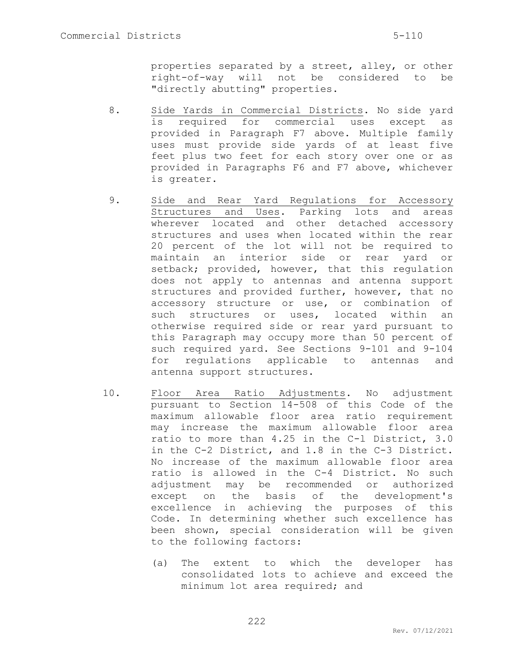properties separated by a street, alley, or other right-of-way will not be considered to be "directly abutting" properties.

- 8. Side Yards in Commercial Districts. No side yard is required for commercial uses except as provided in Paragraph F7 above. Multiple family uses must provide side yards of at least five feet plus two feet for each story over one or as provided in Paragraphs F6 and F7 above, whichever is greater.
- 9. Side and Rear Yard Regulations for Accessory Structures and Uses. Parking lots and areas wherever located and other detached accessory structures and uses when located within the rear 20 percent of the lot will not be required to maintain an interior side or rear yard or setback; provided, however, that this regulation does not apply to antennas and antenna support structures and provided further, however, that no accessory structure or use, or combination of such structures or uses, located within an otherwise required side or rear yard pursuant to this Paragraph may occupy more than 50 percent of such required yard. See Sections 9-101 and 9-104 for regulations applicable to antennas and antenna support structures.
- 10. Floor Area Ratio Adjustments. No adjustment pursuant to Section 14-508 of this Code of the maximum allowable floor area ratio requirement may increase the maximum allowable floor area ratio to more than 4.25 in the C-l District, 3.0 in the C-2 District, and 1.8 in the C-3 District. No increase of the maximum allowable floor area ratio is allowed in the C-4 District. No such adjustment may be recommended or authorized except on the basis of the development's excellence in achieving the purposes of this Code. In determining whether such excellence has been shown, special consideration will be given to the following factors:
	- (a) The extent to which the developer has consolidated lots to achieve and exceed the minimum lot area required; and